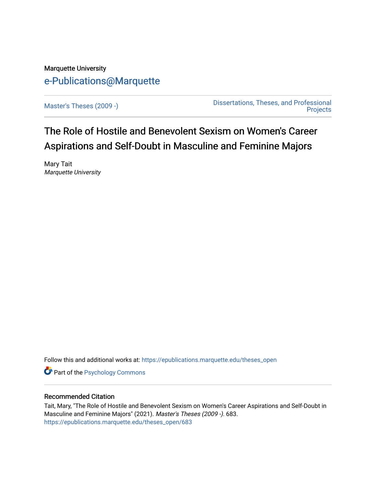# Marquette University [e-Publications@Marquette](https://epublications.marquette.edu/)

[Master's Theses \(2009 -\)](https://epublications.marquette.edu/theses_open) [Dissertations, Theses, and Professional](https://epublications.marquette.edu/diss_theses)  **Projects** 

The Role of Hostile and Benevolent Sexism on Women's Career Aspirations and Self-Doubt in Masculine and Feminine Majors

Mary Tait Marquette University

Follow this and additional works at: [https://epublications.marquette.edu/theses\\_open](https://epublications.marquette.edu/theses_open?utm_source=epublications.marquette.edu%2Ftheses_open%2F683&utm_medium=PDF&utm_campaign=PDFCoverPages) 

**Part of the Psychology Commons** 

# Recommended Citation

Tait, Mary, "The Role of Hostile and Benevolent Sexism on Women's Career Aspirations and Self-Doubt in Masculine and Feminine Majors" (2021). Master's Theses (2009 -). 683. [https://epublications.marquette.edu/theses\\_open/683](https://epublications.marquette.edu/theses_open/683?utm_source=epublications.marquette.edu%2Ftheses_open%2F683&utm_medium=PDF&utm_campaign=PDFCoverPages)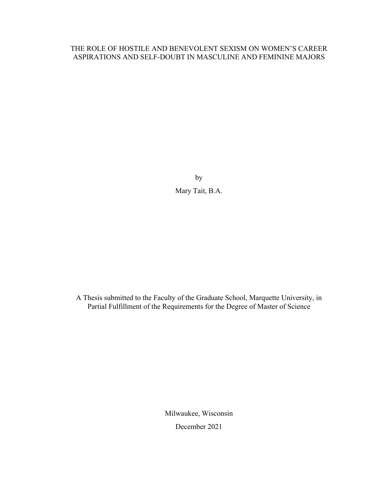# THE ROLE OF HOSTILE AND BENEVOLENT SEXISM ON WOMEN'S CAREER ASPIRATIONS AND SELF-DOUBT IN MASCULINE AND FEMININE MAJORS

by Mary Tait, B.A.

A Thesis submitted to the Faculty of the Graduate School, Marquette University, in Partial Fulfillment of the Requirements for the Degree of Master of Science

> Milwaukee, Wisconsin December 2021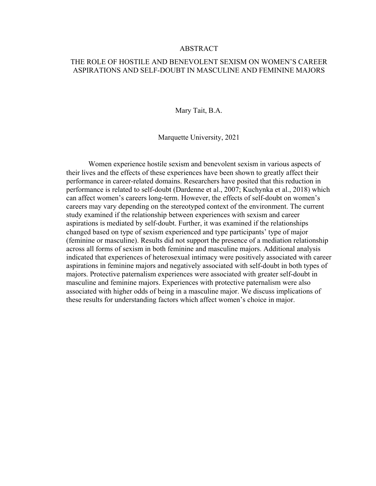#### ABSTRACT

# THE ROLE OF HOSTILE AND BENEVOLENT SEXISM ON WOMEN'S CAREER ASPIRATIONS AND SELF-DOUBT IN MASCULINE AND FEMININE MAJORS

Mary Tait, B.A.

Marquette University, 2021

Women experience hostile sexism and benevolent sexism in various aspects of their lives and the effects of these experiences have been shown to greatly affect their performance in career-related domains. Researchers have posited that this reduction in performance is related to self-doubt (Dardenne et al., 2007; Kuchynka et al., 2018) which can affect women's careers long-term. However, the effects of self-doubt on women's careers may vary depending on the stereotyped context of the environment. The current study examined if the relationship between experiences with sexism and career aspirations is mediated by self-doubt. Further, it was examined if the relationships changed based on type of sexism experienced and type participants' type of major (feminine or masculine). Results did not support the presence of a mediation relationship across all forms of sexism in both feminine and masculine majors. Additional analysis indicated that experiences of heterosexual intimacy were positively associated with career aspirations in feminine majors and negatively associated with self-doubt in both types of majors. Protective paternalism experiences were associated with greater self-doubt in masculine and feminine majors. Experiences with protective paternalism were also associated with higher odds of being in a masculine major. We discuss implications of these results for understanding factors which affect women's choice in major.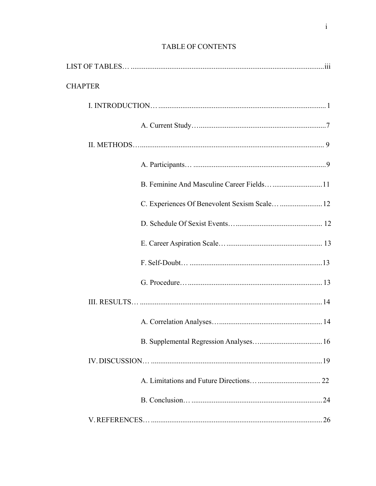| <b>CHAPTER</b>                                |
|-----------------------------------------------|
|                                               |
|                                               |
|                                               |
|                                               |
|                                               |
| C. Experiences Of Benevolent Sexism Scale  12 |
|                                               |
|                                               |
|                                               |
|                                               |
|                                               |
|                                               |
|                                               |
|                                               |
|                                               |
|                                               |
|                                               |

# TABLE OF CONTENTS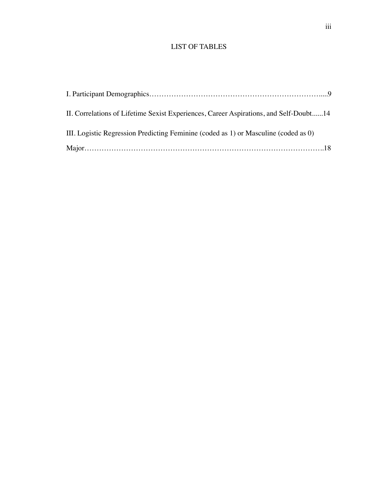# LIST OF TABLES

| II. Correlations of Lifetime Sexist Experiences, Career Aspirations, and Self-Doubt14 |  |
|---------------------------------------------------------------------------------------|--|
| III. Logistic Regression Predicting Feminine (coded as 1) or Masculine (coded as 0)   |  |
|                                                                                       |  |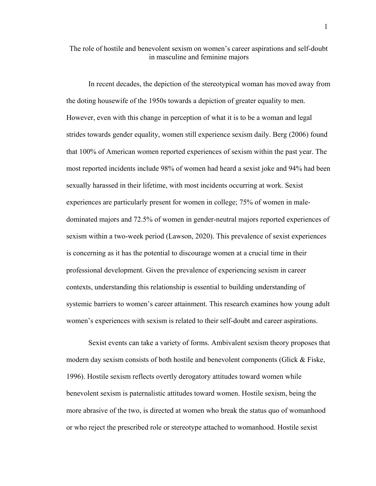The role of hostile and benevolent sexism on women's career aspirations and self-doubt in masculine and feminine majors

In recent decades, the depiction of the stereotypical woman has moved away from the doting housewife of the 1950s towards a depiction of greater equality to men. However, even with this change in perception of what it is to be a woman and legal strides towards gender equality, women still experience sexism daily. Berg (2006) found that 100% of American women reported experiences of sexism within the past year. The most reported incidents include 98% of women had heard a sexist joke and 94% had been sexually harassed in their lifetime, with most incidents occurring at work. Sexist experiences are particularly present for women in college; 75% of women in maledominated majors and 72.5% of women in gender-neutral majors reported experiences of sexism within a two-week period (Lawson, 2020). This prevalence of sexist experiences is concerning as it has the potential to discourage women at a crucial time in their professional development. Given the prevalence of experiencing sexism in career contexts, understanding this relationship is essential to building understanding of systemic barriers to women's career attainment. This research examines how young adult women's experiences with sexism is related to their self-doubt and career aspirations.

Sexist events can take a variety of forms. Ambivalent sexism theory proposes that modern day sexism consists of both hostile and benevolent components (Glick & Fiske, 1996). Hostile sexism reflects overtly derogatory attitudes toward women while benevolent sexism is paternalistic attitudes toward women. Hostile sexism, being the more abrasive of the two, is directed at women who break the status quo of womanhood or who reject the prescribed role or stereotype attached to womanhood. Hostile sexist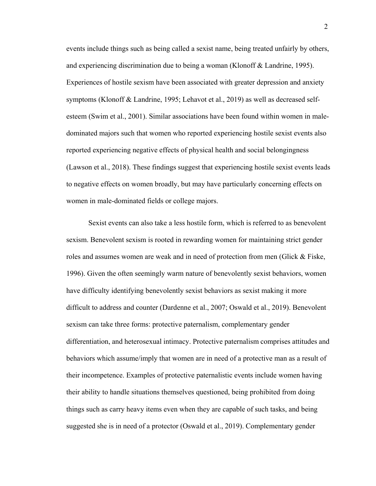events include things such as being called a sexist name, being treated unfairly by others, and experiencing discrimination due to being a woman (Klonoff & Landrine, 1995). Experiences of hostile sexism have been associated with greater depression and anxiety symptoms (Klonoff & Landrine, 1995; Lehavot et al., 2019) as well as decreased selfesteem (Swim et al., 2001). Similar associations have been found within women in maledominated majors such that women who reported experiencing hostile sexist events also reported experiencing negative effects of physical health and social belongingness (Lawson et al., 2018). These findings suggest that experiencing hostile sexist events leads to negative effects on women broadly, but may have particularly concerning effects on women in male-dominated fields or college majors.

Sexist events can also take a less hostile form, which is referred to as benevolent sexism. Benevolent sexism is rooted in rewarding women for maintaining strict gender roles and assumes women are weak and in need of protection from men (Glick & Fiske, 1996). Given the often seemingly warm nature of benevolently sexist behaviors, women have difficulty identifying benevolently sexist behaviors as sexist making it more difficult to address and counter (Dardenne et al., 2007; Oswald et al., 2019). Benevolent sexism can take three forms: protective paternalism, complementary gender differentiation, and heterosexual intimacy. Protective paternalism comprises attitudes and behaviors which assume/imply that women are in need of a protective man as a result of their incompetence. Examples of protective paternalistic events include women having their ability to handle situations themselves questioned, being prohibited from doing things such as carry heavy items even when they are capable of such tasks, and being suggested she is in need of a protector (Oswald et al., 2019). Complementary gender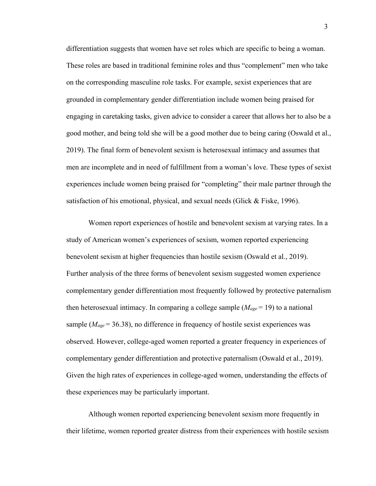differentiation suggests that women have set roles which are specific to being a woman. These roles are based in traditional feminine roles and thus "complement" men who take on the corresponding masculine role tasks. For example, sexist experiences that are grounded in complementary gender differentiation include women being praised for engaging in caretaking tasks, given advice to consider a career that allows her to also be a good mother, and being told she will be a good mother due to being caring (Oswald et al., 2019). The final form of benevolent sexism is heterosexual intimacy and assumes that men are incomplete and in need of fulfillment from a woman's love. These types of sexist experiences include women being praised for "completing" their male partner through the satisfaction of his emotional, physical, and sexual needs (Glick & Fiske, 1996).

Women report experiences of hostile and benevolent sexism at varying rates. In a study of American women's experiences of sexism, women reported experiencing benevolent sexism at higher frequencies than hostile sexism (Oswald et al., 2019). Further analysis of the three forms of benevolent sexism suggested women experience complementary gender differentiation most frequently followed by protective paternalism then heterosexual intimacy. In comparing a college sample (*Mage* = 19) to a national sample  $(M_{age} = 36.38)$ , no difference in frequency of hostile sexist experiences was observed. However, college-aged women reported a greater frequency in experiences of complementary gender differentiation and protective paternalism (Oswald et al., 2019). Given the high rates of experiences in college-aged women, understanding the effects of these experiences may be particularly important.

Although women reported experiencing benevolent sexism more frequently in their lifetime, women reported greater distress from their experiences with hostile sexism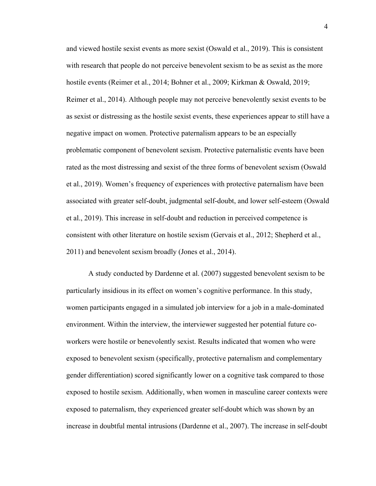and viewed hostile sexist events as more sexist (Oswald et al., 2019). This is consistent with research that people do not perceive benevolent sexism to be as sexist as the more hostile events (Reimer et al., 2014; Bohner et al., 2009; Kirkman & Oswald, 2019; Reimer et al., 2014). Although people may not perceive benevolently sexist events to be as sexist or distressing as the hostile sexist events, these experiences appear to still have a negative impact on women. Protective paternalism appears to be an especially problematic component of benevolent sexism. Protective paternalistic events have been rated as the most distressing and sexist of the three forms of benevolent sexism (Oswald et al., 2019). Women's frequency of experiences with protective paternalism have been associated with greater self-doubt, judgmental self-doubt, and lower self-esteem (Oswald et al., 2019). This increase in self-doubt and reduction in perceived competence is consistent with other literature on hostile sexism (Gervais et al., 2012; Shepherd et al., 2011) and benevolent sexism broadly (Jones et al., 2014).

A study conducted by Dardenne et al. (2007) suggested benevolent sexism to be particularly insidious in its effect on women's cognitive performance. In this study, women participants engaged in a simulated job interview for a job in a male-dominated environment. Within the interview, the interviewer suggested her potential future coworkers were hostile or benevolently sexist. Results indicated that women who were exposed to benevolent sexism (specifically, protective paternalism and complementary gender differentiation) scored significantly lower on a cognitive task compared to those exposed to hostile sexism. Additionally, when women in masculine career contexts were exposed to paternalism, they experienced greater self-doubt which was shown by an increase in doubtful mental intrusions (Dardenne et al., 2007). The increase in self-doubt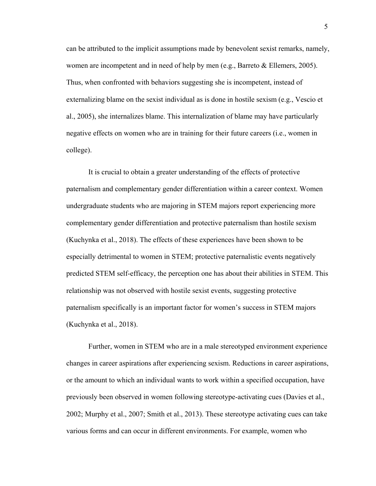can be attributed to the implicit assumptions made by benevolent sexist remarks, namely, women are incompetent and in need of help by men (e.g., Barreto & Ellemers, 2005). Thus, when confronted with behaviors suggesting she is incompetent, instead of externalizing blame on the sexist individual as is done in hostile sexism (e.g., Vescio et al., 2005), she internalizes blame. This internalization of blame may have particularly negative effects on women who are in training for their future careers (i.e., women in college).

It is crucial to obtain a greater understanding of the effects of protective paternalism and complementary gender differentiation within a career context. Women undergraduate students who are majoring in STEM majors report experiencing more complementary gender differentiation and protective paternalism than hostile sexism (Kuchynka et al., 2018). The effects of these experiences have been shown to be especially detrimental to women in STEM; protective paternalistic events negatively predicted STEM self-efficacy, the perception one has about their abilities in STEM. This relationship was not observed with hostile sexist events, suggesting protective paternalism specifically is an important factor for women's success in STEM majors (Kuchynka et al., 2018).

Further, women in STEM who are in a male stereotyped environment experience changes in career aspirations after experiencing sexism. Reductions in career aspirations, or the amount to which an individual wants to work within a specified occupation, have previously been observed in women following stereotype-activating cues (Davies et al., 2002; Murphy et al., 2007; Smith et al., 2013). These stereotype activating cues can take various forms and can occur in different environments. For example, women who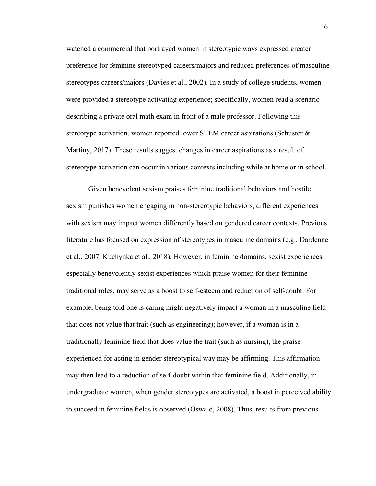watched a commercial that portrayed women in stereotypic ways expressed greater preference for feminine stereotyped careers/majors and reduced preferences of masculine stereotypes careers/majors (Davies et al., 2002). In a study of college students, women were provided a stereotype activating experience; specifically, women read a scenario describing a private oral math exam in front of a male professor. Following this stereotype activation, women reported lower STEM career aspirations (Schuster & Martiny, 2017). These results suggest changes in career aspirations as a result of stereotype activation can occur in various contexts including while at home or in school.

Given benevolent sexism praises feminine traditional behaviors and hostile sexism punishes women engaging in non-stereotypic behaviors, different experiences with sexism may impact women differently based on gendered career contexts. Previous literature has focused on expression of stereotypes in masculine domains (e.g., Dardenne et al., 2007, Kuchynka et al., 2018). However, in feminine domains, sexist experiences, especially benevolently sexist experiences which praise women for their feminine traditional roles, may serve as a boost to self-esteem and reduction of self-doubt. For example, being told one is caring might negatively impact a woman in a masculine field that does not value that trait (such as engineering); however, if a woman is in a traditionally feminine field that does value the trait (such as nursing), the praise experienced for acting in gender stereotypical way may be affirming. This affirmation may then lead to a reduction of self-doubt within that feminine field. Additionally, in undergraduate women, when gender stereotypes are activated, a boost in perceived ability to succeed in feminine fields is observed (Oswald, 2008). Thus, results from previous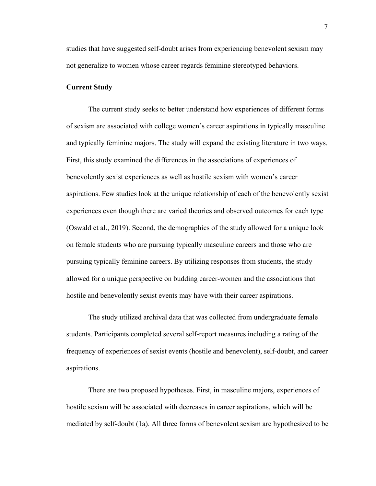studies that have suggested self-doubt arises from experiencing benevolent sexism may not generalize to women whose career regards feminine stereotyped behaviors.

# **Current Study**

The current study seeks to better understand how experiences of different forms of sexism are associated with college women's career aspirations in typically masculine and typically feminine majors. The study will expand the existing literature in two ways. First, this study examined the differences in the associations of experiences of benevolently sexist experiences as well as hostile sexism with women's career aspirations. Few studies look at the unique relationship of each of the benevolently sexist experiences even though there are varied theories and observed outcomes for each type (Oswald et al., 2019). Second, the demographics of the study allowed for a unique look on female students who are pursuing typically masculine careers and those who are pursuing typically feminine careers. By utilizing responses from students, the study allowed for a unique perspective on budding career-women and the associations that hostile and benevolently sexist events may have with their career aspirations.

The study utilized archival data that was collected from undergraduate female students. Participants completed several self-report measures including a rating of the frequency of experiences of sexist events (hostile and benevolent), self-doubt, and career aspirations.

There are two proposed hypotheses. First, in masculine majors, experiences of hostile sexism will be associated with decreases in career aspirations, which will be mediated by self-doubt (1a). All three forms of benevolent sexism are hypothesized to be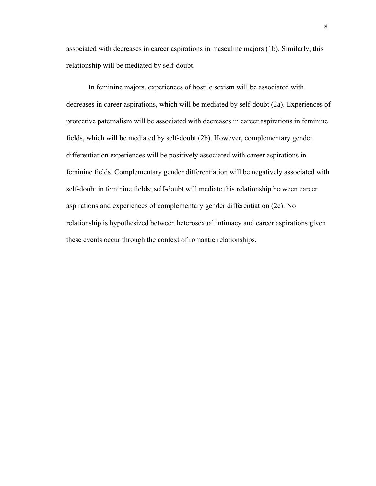associated with decreases in career aspirations in masculine majors (1b). Similarly, this relationship will be mediated by self-doubt.

In feminine majors, experiences of hostile sexism will be associated with decreases in career aspirations, which will be mediated by self-doubt (2a). Experiences of protective paternalism will be associated with decreases in career aspirations in feminine fields, which will be mediated by self-doubt (2b). However, complementary gender differentiation experiences will be positively associated with career aspirations in feminine fields. Complementary gender differentiation will be negatively associated with self-doubt in feminine fields; self-doubt will mediate this relationship between career aspirations and experiences of complementary gender differentiation (2c). No relationship is hypothesized between heterosexual intimacy and career aspirations given these events occur through the context of romantic relationships.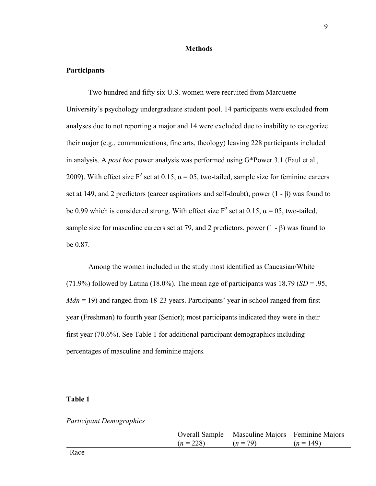### **Methods**

# **Participants**

Two hundred and fifty six U.S. women were recruited from Marquette University's psychology undergraduate student pool. 14 participants were excluded from analyses due to not reporting a major and 14 were excluded due to inability to categorize their major (e.g., communications, fine arts, theology) leaving 228 participants included in analysis. A *post hoc* power analysis was performed using G\*Power 3.1 (Faul et al., 2009). With effect size  $F^2$  set at 0.15,  $\alpha = 05$ , two-tailed, sample size for feminine careers set at 149, and 2 predictors (career aspirations and self-doubt), power (1 - β) was found to be 0.99 which is considered strong. With effect size  $F^2$  set at 0.15,  $\alpha = 0.5$ , two-tailed, sample size for masculine careers set at 79, and 2 predictors, power  $(1 - \beta)$  was found to be 0.87.

Among the women included in the study most identified as Caucasian/White (71.9%) followed by Latina (18.0%). The mean age of participants was  $18.79$  (*SD* = .95, *Mdn* = 19) and ranged from 18-23 years. Participants' year in school ranged from first year (Freshman) to fourth year (Senior); most participants indicated they were in their first year (70.6%). See Table 1 for additional participant demographics including percentages of masculine and feminine majors.

# **Table 1**

*Participant Demographics* 

|             |          | Overall Sample Masculine Majors Feminine Majors |  |
|-------------|----------|-------------------------------------------------|--|
| $(n = 228)$ | $(n=79)$ | $(n=149)$                                       |  |
|             |          |                                                 |  |

Race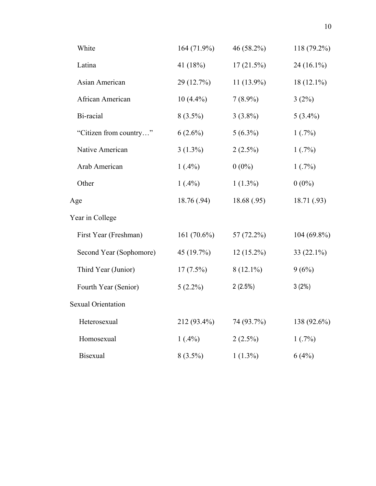| White                     | 164 (71.9%) | 46 (58.2%)   | 118 (79.2%)   |
|---------------------------|-------------|--------------|---------------|
| Latina                    | 41 (18%)    | 17(21.5%)    | 24 (16.1%)    |
| Asian American            | 29 (12.7%)  | $11(13.9\%)$ | 18 (12.1%)    |
| African American          | $10(4.4\%)$ | $7(8.9\%)$   | 3(2%)         |
| Bi-racial                 | $8(3.5\%)$  | $3(3.8\%)$   | $5(3.4\%)$    |
| "Citizen from country"    | $6(2.6\%)$  | $5(6.3\%)$   | 1(.7%)        |
| Native American           | $3(1.3\%)$  | $2(2.5\%)$   | 1(.7%)        |
| Arab American             | $1(.4\%)$   | $0(0\%)$     | 1(.7%)        |
| Other                     | $1(.4\%)$   | $1(1.3\%)$   | $0(0\%)$      |
| Age                       | 18.76 (.94) | 18.68(.95)   | 18.71 (.93)   |
| Year in College           |             |              |               |
| First Year (Freshman)     | 161 (70.6%) | 57 (72.2%)   | $104(69.8\%)$ |
| Second Year (Sophomore)   | 45 (19.7%)  | $12(15.2\%)$ | 33 (22.1%)    |
| Third Year (Junior)       | $17(7.5\%)$ | $8(12.1\%)$  | 9(6%)         |
| Fourth Year (Senior)      | $5(2.2\%)$  | $2(2.5\%)$   | 3(2%)         |
| <b>Sexual Orientation</b> |             |              |               |
| Heterosexual              | 212 (93.4%) | 74 (93.7%)   | 138 (92.6%)   |
| Homosexual                | $1(.4\%)$   | $2(2.5\%)$   | 1(.7%)        |
| <b>Bisexual</b>           | $8(3.5\%)$  | $1(1.3\%)$   | 6(4%)         |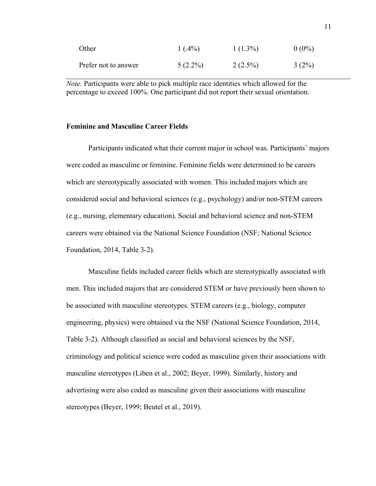| Other                | $1(.4\%)$  | $1(1.3\%)$ | $0(0\%)$ |
|----------------------|------------|------------|----------|
| Prefer not to answer | $5(2.2\%)$ | $2(2.5\%)$ | $3(2\%)$ |

*Note.* Participants were able to pick multiple race identities which allowed for the percentage to exceed 100%. One participant did not report their sexual orientation.

#### **Feminine and Masculine Career Fields**

Participants indicated what their current major in school was. Participants' majors were coded as masculine or feminine. Feminine fields were determined to be careers which are stereotypically associated with women. This included majors which are considered social and behavioral sciences (e.g., psychology) and/or non-STEM careers (e.g., nursing, elementary education). Social and behavioral science and non-STEM careers were obtained via the National Science Foundation (NSF; National Science Foundation, 2014, Table 3-2).

Masculine fields included career fields which are stereotypically associated with men. This included majors that are considered STEM or have previously been shown to be associated with masculine stereotypes. STEM careers (e.g., biology, computer engineering, physics) were obtained via the NSF (National Science Foundation, 2014, Table 3-2). Although classified as social and behavioral sciences by the NSF, criminology and political science were coded as masculine given their associations with masculine stereotypes (Liben et al., 2002; Beyer, 1999). Similarly, history and advertising were also coded as masculine given their associations with masculine stereotypes (Beyer, 1999; Beutel et al., 2019).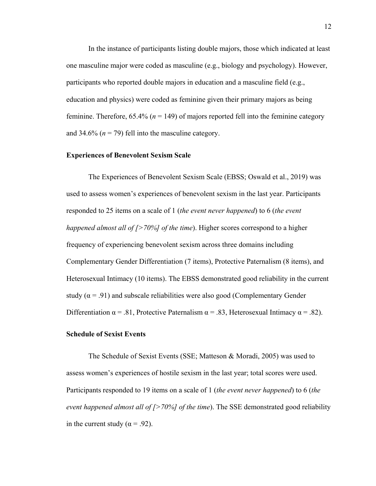In the instance of participants listing double majors, those which indicated at least one masculine major were coded as masculine (e.g., biology and psychology). However, participants who reported double majors in education and a masculine field (e.g., education and physics) were coded as feminine given their primary majors as being feminine. Therefore,  $65.4\%$  ( $n = 149$ ) of majors reported fell into the feminine category and 34.6%  $(n = 79)$  fell into the masculine category.

#### **Experiences of Benevolent Sexism Scale**

The Experiences of Benevolent Sexism Scale (EBSS; Oswald et al., 2019) was used to assess women's experiences of benevolent sexism in the last year. Participants responded to 25 items on a scale of 1 (*the event never happened*) to 6 (*the event happened almost all of [>70%] of the time*). Higher scores correspond to a higher frequency of experiencing benevolent sexism across three domains including Complementary Gender Differentiation (7 items), Protective Paternalism (8 items), and Heterosexual Intimacy (10 items). The EBSS demonstrated good reliability in the current study ( $\alpha$  = .91) and subscale reliabilities were also good (Complementary Gender Differentiation  $\alpha = .81$ , Protective Paternalism  $\alpha = .83$ , Heterosexual Intimacy  $\alpha = .82$ ).

#### **Schedule of Sexist Events**

The Schedule of Sexist Events (SSE; Matteson & Moradi, 2005) was used to assess women's experiences of hostile sexism in the last year; total scores were used. Participants responded to 19 items on a scale of 1 (*the event never happened*) to 6 (*the event happened almost all of [>70%] of the time*). The SSE demonstrated good reliability in the current study ( $\alpha$  = .92).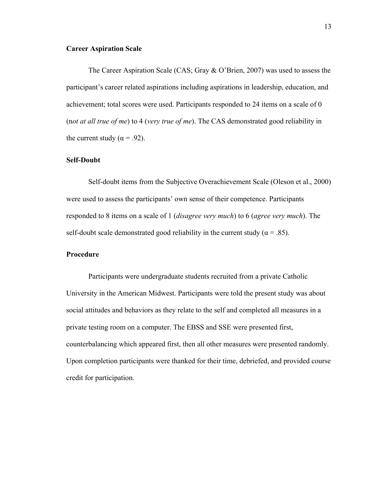#### **Career Aspiration Scale**

The Career Aspiration Scale (CAS; Gray & O'Brien, 2007) was used to assess the participant's career related aspirations including aspirations in leadership, education, and achievement; total scores were used. Participants responded to 24 items on a scale of 0 (n*ot at all true of me*) to 4 (*very true of me*). The CAS demonstrated good reliability in the current study ( $\alpha$  = .92).

### **Self-Doubt**

Self-doubt items from the Subjective Overachievement Scale (Oleson et al., 2000) were used to assess the participants' own sense of their competence. Participants responded to 8 items on a scale of 1 (*disagree very much*) to 6 (*agree very much*). The self-doubt scale demonstrated good reliability in the current study ( $\alpha = .85$ ).

### **Procedure**

Participants were undergraduate students recruited from a private Catholic University in the American Midwest. Participants were told the present study was about social attitudes and behaviors as they relate to the self and completed all measures in a private testing room on a computer. The EBSS and SSE were presented first, counterbalancing which appeared first, then all other measures were presented randomly. Upon completion participants were thanked for their time, debriefed, and provided course credit for participation.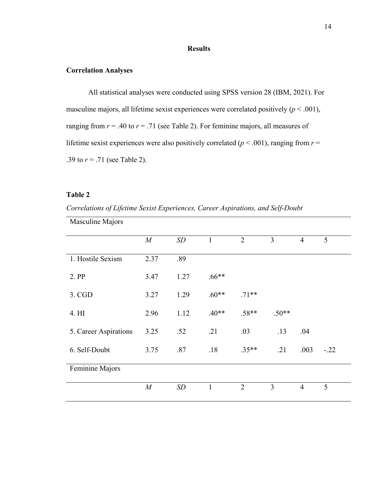# **Results**

### **Correlation Analyses**

All statistical analyses were conducted using SPSS version 28 (IBM, 2021). For masculine majors, all lifetime sexist experiences were correlated positively  $(p < .001)$ , ranging from  $r = .40$  to  $r = .71$  (see Table 2). For feminine majors, all measures of lifetime sexist experiences were also positively correlated ( $p < .001$ ), ranging from  $r =$ .39 to  $r = .71$  (see Table 2).

# **Table 2**

*Correlations of Lifetime Sexist Experiences, Career Aspirations, and Self-Doubt* 

| Masculine Majors      |                  |      |              |                |                |                |        |
|-----------------------|------------------|------|--------------|----------------|----------------|----------------|--------|
|                       | $\boldsymbol{M}$ | SD   | $\mathbf{1}$ | $\overline{2}$ | $\overline{3}$ | $\overline{4}$ | 5      |
| 1. Hostile Sexism     | 2.37             | .89  |              |                |                |                |        |
| 2. PP                 | 3.47             | 1.27 | $.66**$      |                |                |                |        |
| $3.$ CGD              | 3.27             | 1.29 | $.60**$      | $.71**$        |                |                |        |
| 4. HI                 | 2.96             | 1.12 | $.40**$      | $.58**$        | $.50**$        |                |        |
| 5. Career Aspirations | 3.25             | .52  | .21          | .03            | .13            | .04            |        |
| 6. Self-Doubt         | 3.75             | .87  | .18          | $.35**$        | .21            | .003           | $-.22$ |
| Feminine Majors       |                  |      |              |                |                |                |        |
|                       | $\cal M$         | SD   | $\mathbf{1}$ | $\overline{2}$ | $\overline{3}$ | $\overline{4}$ | 5      |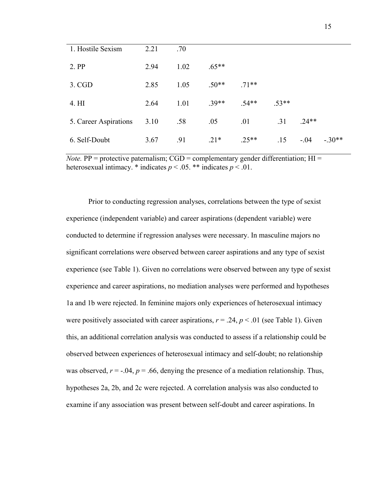| 1. Hostile Sexism     | 2.21 | .70  |         |         |         |         |          |
|-----------------------|------|------|---------|---------|---------|---------|----------|
| 2. PP                 | 2.94 | 1.02 | $.65**$ |         |         |         |          |
| $3.$ CGD              | 2.85 | 1.05 | $.50**$ | $.71**$ |         |         |          |
| 4. HI                 | 2.64 | 1.01 | $.39**$ | $.54**$ | $.53**$ |         |          |
| 5. Career Aspirations | 3.10 | .58  | .05     | .01     | .31     | $.24**$ |          |
| 6. Self-Doubt         | 3.67 | .91  | $.21*$  | $.25**$ | .15     | $-.04$  | $-.30**$ |

*Note.* PP = protective paternalism;  $CGD =$  complementary gender differentiation;  $HI =$ heterosexual intimacy.  $*$  indicates  $p < .05$ .  $**$  indicates  $p < .01$ .

Prior to conducting regression analyses, correlations between the type of sexist experience (independent variable) and career aspirations (dependent variable) were conducted to determine if regression analyses were necessary. In masculine majors no significant correlations were observed between career aspirations and any type of sexist experience (see Table 1). Given no correlations were observed between any type of sexist experience and career aspirations, no mediation analyses were performed and hypotheses 1a and 1b were rejected. In feminine majors only experiences of heterosexual intimacy were positively associated with career aspirations,  $r = .24$ ,  $p < .01$  (see Table 1). Given this, an additional correlation analysis was conducted to assess if a relationship could be observed between experiences of heterosexual intimacy and self-doubt; no relationship was observed,  $r = -0.04$ ,  $p = 0.66$ , denying the presence of a mediation relationship. Thus, hypotheses 2a, 2b, and 2c were rejected. A correlation analysis was also conducted to examine if any association was present between self-doubt and career aspirations. In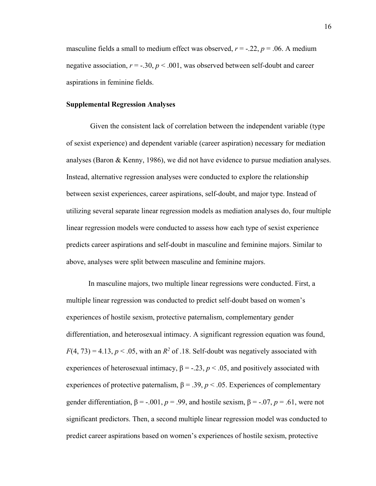masculine fields a small to medium effect was observed,  $r = -0.22$ ,  $p = 0.06$ . A medium negative association,  $r = -.30$ ,  $p < .001$ , was observed between self-doubt and career aspirations in feminine fields.

### **Supplemental Regression Analyses**

Given the consistent lack of correlation between the independent variable (type of sexist experience) and dependent variable (career aspiration) necessary for mediation analyses (Baron & Kenny, 1986), we did not have evidence to pursue mediation analyses. Instead, alternative regression analyses were conducted to explore the relationship between sexist experiences, career aspirations, self-doubt, and major type. Instead of utilizing several separate linear regression models as mediation analyses do, four multiple linear regression models were conducted to assess how each type of sexist experience predicts career aspirations and self-doubt in masculine and feminine majors. Similar to above, analyses were split between masculine and feminine majors.

In masculine majors, two multiple linear regressions were conducted. First, a multiple linear regression was conducted to predict self-doubt based on women's experiences of hostile sexism, protective paternalism, complementary gender differentiation, and heterosexual intimacy. A significant regression equation was found,  $F(4, 73) = 4.13$ ,  $p < .05$ , with an  $R^2$  of .18. Self-doubt was negatively associated with experiences of heterosexual intimacy,  $\beta = -0.23$ ,  $p < 0.05$ , and positively associated with experiences of protective paternalism,  $\beta = .39$ ,  $p < .05$ . Experiences of complementary gender differentiation,  $\beta = -0.001$ ,  $p = 0.99$ , and hostile sexism,  $\beta = -0.07$ ,  $p = 0.61$ , were not significant predictors. Then, a second multiple linear regression model was conducted to predict career aspirations based on women's experiences of hostile sexism, protective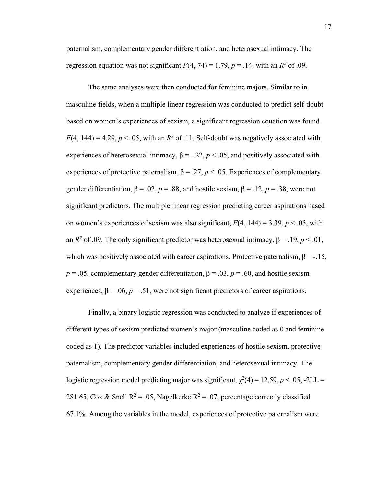paternalism, complementary gender differentiation, and heterosexual intimacy. The regression equation was not significant  $F(4, 74) = 1.79$ ,  $p = .14$ , with an  $R^2$  of .09.

The same analyses were then conducted for feminine majors. Similar to in masculine fields, when a multiple linear regression was conducted to predict self-doubt based on women's experiences of sexism, a significant regression equation was found  $F(4, 144) = 4.29, p < .05$ , with an  $R^2$  of .11. Self-doubt was negatively associated with experiences of heterosexual intimacy,  $\beta = -0.22$ ,  $p < 0.05$ , and positively associated with experiences of protective paternalism,  $\beta = .27$ ,  $p < .05$ . Experiences of complementary gender differentiation,  $\beta = .02$ ,  $p = .88$ , and hostile sexism,  $\beta = .12$ ,  $p = .38$ , were not significant predictors. The multiple linear regression predicting career aspirations based on women's experiences of sexism was also significant,  $F(4, 144) = 3.39$ ,  $p < .05$ , with an  $R^2$  of .09. The only significant predictor was heterosexual intimacy,  $\beta = .19$ ,  $p < .01$ , which was positively associated with career aspirations. Protective paternalism,  $\beta = -15$ ,  $p = .05$ , complementary gender differentiation,  $\beta = .03$ ,  $p = .60$ , and hostile sexism experiences,  $\beta = .06$ ,  $p = .51$ , were not significant predictors of career aspirations.

Finally, a binary logistic regression was conducted to analyze if experiences of different types of sexism predicted women's major (masculine coded as 0 and feminine coded as 1). The predictor variables included experiences of hostile sexism, protective paternalism, complementary gender differentiation, and heterosexual intimacy. The logistic regression model predicting major was significant,  $\chi^2(4) = 12.59, p < .05, -2LL =$ 281.65, Cox & Snell  $R^2 = 0.05$ , Nagelkerke  $R^2 = 0.07$ , percentage correctly classified 67.1%. Among the variables in the model, experiences of protective paternalism were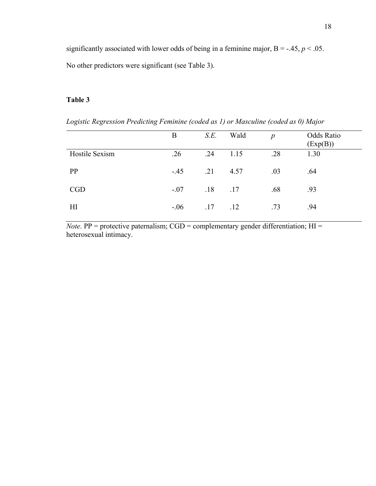significantly associated with lower odds of being in a feminine major,  $B = -0.45$ ,  $p < 0.05$ . No other predictors were significant (see Table 3).

# **Table 3**

*Logistic Regression Predicting Feminine (coded as 1) or Masculine (coded as 0) Major* 

|                | B      | S.E.         | Wald | $\boldsymbol{D}$ | <b>Odds Ratio</b><br>$\left( \text{Exp}(B) \right)$ |
|----------------|--------|--------------|------|------------------|-----------------------------------------------------|
| Hostile Sexism | .26    | .24          | 1.15 | .28              | 1.30                                                |
| PP             | $-.45$ | .21          | 4.57 | .03              | .64                                                 |
| CGD            | $-.07$ | $.18 \t .17$ |      | .68              | .93                                                 |
| H              | $-.06$ | .17          | .12  | .73              | .94                                                 |

*Note.*  $PP =$  protective paternalism;  $CGD =$  complementary gender differentiation;  $HI =$ heterosexual intimacy.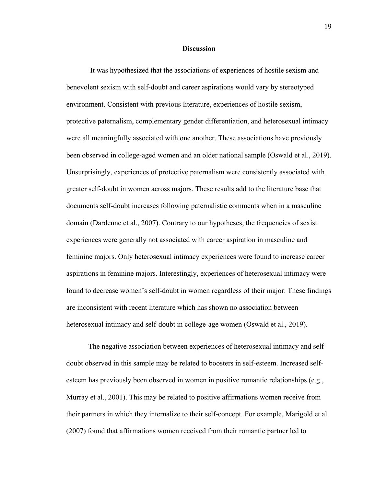#### **Discussion**

It was hypothesized that the associations of experiences of hostile sexism and benevolent sexism with self-doubt and career aspirations would vary by stereotyped environment. Consistent with previous literature, experiences of hostile sexism, protective paternalism, complementary gender differentiation, and heterosexual intimacy were all meaningfully associated with one another. These associations have previously been observed in college-aged women and an older national sample (Oswald et al., 2019). Unsurprisingly, experiences of protective paternalism were consistently associated with greater self-doubt in women across majors. These results add to the literature base that documents self-doubt increases following paternalistic comments when in a masculine domain (Dardenne et al., 2007). Contrary to our hypotheses, the frequencies of sexist experiences were generally not associated with career aspiration in masculine and feminine majors. Only heterosexual intimacy experiences were found to increase career aspirations in feminine majors. Interestingly, experiences of heterosexual intimacy were found to decrease women's self-doubt in women regardless of their major. These findings are inconsistent with recent literature which has shown no association between heterosexual intimacy and self-doubt in college-age women (Oswald et al., 2019).

The negative association between experiences of heterosexual intimacy and selfdoubt observed in this sample may be related to boosters in self-esteem. Increased selfesteem has previously been observed in women in positive romantic relationships (e.g., Murray et al., 2001). This may be related to positive affirmations women receive from their partners in which they internalize to their self-concept. For example, Marigold et al. (2007) found that affirmations women received from their romantic partner led to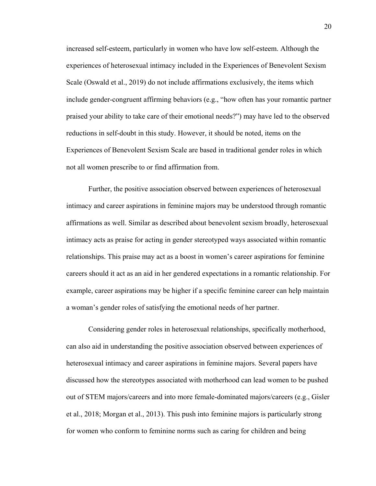increased self-esteem, particularly in women who have low self-esteem. Although the experiences of heterosexual intimacy included in the Experiences of Benevolent Sexism Scale (Oswald et al., 2019) do not include affirmations exclusively, the items which include gender-congruent affirming behaviors (e.g., "how often has your romantic partner praised your ability to take care of their emotional needs?") may have led to the observed reductions in self-doubt in this study. However, it should be noted, items on the Experiences of Benevolent Sexism Scale are based in traditional gender roles in which not all women prescribe to or find affirmation from.

Further, the positive association observed between experiences of heterosexual intimacy and career aspirations in feminine majors may be understood through romantic affirmations as well. Similar as described about benevolent sexism broadly, heterosexual intimacy acts as praise for acting in gender stereotyped ways associated within romantic relationships. This praise may act as a boost in women's career aspirations for feminine careers should it act as an aid in her gendered expectations in a romantic relationship. For example, career aspirations may be higher if a specific feminine career can help maintain a woman's gender roles of satisfying the emotional needs of her partner.

Considering gender roles in heterosexual relationships, specifically motherhood, can also aid in understanding the positive association observed between experiences of heterosexual intimacy and career aspirations in feminine majors. Several papers have discussed how the stereotypes associated with motherhood can lead women to be pushed out of STEM majors/careers and into more female-dominated majors/careers (e.g., Gisler et al., 2018; Morgan et al., 2013). This push into feminine majors is particularly strong for women who conform to feminine norms such as caring for children and being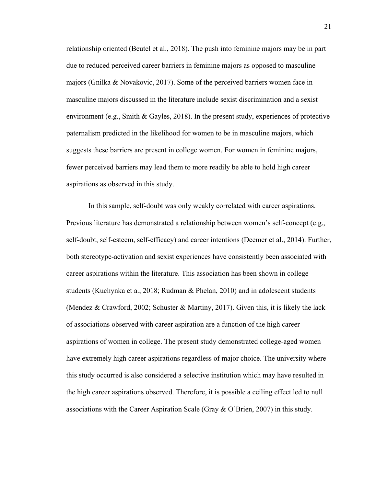relationship oriented (Beutel et al., 2018). The push into feminine majors may be in part due to reduced perceived career barriers in feminine majors as opposed to masculine majors (Gnilka & Novakovic, 2017). Some of the perceived barriers women face in masculine majors discussed in the literature include sexist discrimination and a sexist environment (e.g., Smith & Gayles, 2018). In the present study, experiences of protective paternalism predicted in the likelihood for women to be in masculine majors, which suggests these barriers are present in college women. For women in feminine majors, fewer perceived barriers may lead them to more readily be able to hold high career aspirations as observed in this study.

In this sample, self-doubt was only weakly correlated with career aspirations. Previous literature has demonstrated a relationship between women's self-concept (e.g., self-doubt, self-esteem, self-efficacy) and career intentions (Deemer et al., 2014). Further, both stereotype-activation and sexist experiences have consistently been associated with career aspirations within the literature. This association has been shown in college students (Kuchynka et a., 2018; Rudman & Phelan, 2010) and in adolescent students (Mendez & Crawford, 2002; Schuster & Martiny, 2017). Given this, it is likely the lack of associations observed with career aspiration are a function of the high career aspirations of women in college. The present study demonstrated college-aged women have extremely high career aspirations regardless of major choice. The university where this study occurred is also considered a selective institution which may have resulted in the high career aspirations observed. Therefore, it is possible a ceiling effect led to null associations with the Career Aspiration Scale (Gray & O'Brien, 2007) in this study.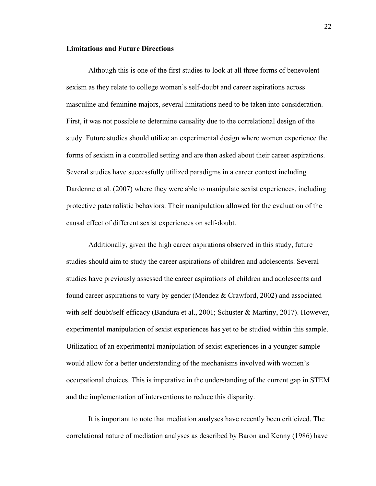#### **Limitations and Future Directions**

Although this is one of the first studies to look at all three forms of benevolent sexism as they relate to college women's self-doubt and career aspirations across masculine and feminine majors, several limitations need to be taken into consideration. First, it was not possible to determine causality due to the correlational design of the study. Future studies should utilize an experimental design where women experience the forms of sexism in a controlled setting and are then asked about their career aspirations. Several studies have successfully utilized paradigms in a career context including Dardenne et al. (2007) where they were able to manipulate sexist experiences, including protective paternalistic behaviors. Their manipulation allowed for the evaluation of the causal effect of different sexist experiences on self-doubt.

Additionally, given the high career aspirations observed in this study, future studies should aim to study the career aspirations of children and adolescents. Several studies have previously assessed the career aspirations of children and adolescents and found career aspirations to vary by gender (Mendez & Crawford, 2002) and associated with self-doubt/self-efficacy (Bandura et al., 2001; Schuster & Martiny, 2017). However, experimental manipulation of sexist experiences has yet to be studied within this sample. Utilization of an experimental manipulation of sexist experiences in a younger sample would allow for a better understanding of the mechanisms involved with women's occupational choices. This is imperative in the understanding of the current gap in STEM and the implementation of interventions to reduce this disparity.

It is important to note that mediation analyses have recently been criticized. The correlational nature of mediation analyses as described by Baron and Kenny (1986) have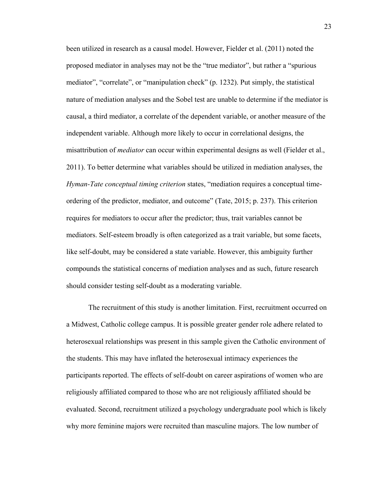been utilized in research as a causal model. However, Fielder et al. (2011) noted the proposed mediator in analyses may not be the "true mediator", but rather a "spurious mediator", "correlate", or "manipulation check" (p. 1232). Put simply, the statistical nature of mediation analyses and the Sobel test are unable to determine if the mediator is causal, a third mediator, a correlate of the dependent variable, or another measure of the independent variable. Although more likely to occur in correlational designs, the misattribution of *mediator* can occur within experimental designs as well (Fielder et al., 2011). To better determine what variables should be utilized in mediation analyses, the *Hyman-Tate conceptual timing criterion* states, "mediation requires a conceptual timeordering of the predictor, mediator, and outcome" (Tate, 2015; p. 237). This criterion requires for mediators to occur after the predictor; thus, trait variables cannot be mediators. Self-esteem broadly is often categorized as a trait variable, but some facets, like self-doubt, may be considered a state variable. However, this ambiguity further compounds the statistical concerns of mediation analyses and as such, future research should consider testing self-doubt as a moderating variable.

The recruitment of this study is another limitation. First, recruitment occurred on a Midwest, Catholic college campus. It is possible greater gender role adhere related to heterosexual relationships was present in this sample given the Catholic environment of the students. This may have inflated the heterosexual intimacy experiences the participants reported. The effects of self-doubt on career aspirations of women who are religiously affiliated compared to those who are not religiously affiliated should be evaluated. Second, recruitment utilized a psychology undergraduate pool which is likely why more feminine majors were recruited than masculine majors. The low number of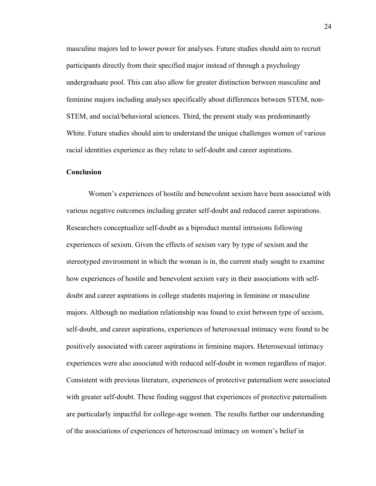masculine majors led to lower power for analyses. Future studies should aim to recruit participants directly from their specified major instead of through a psychology undergraduate pool. This can also allow for greater distinction between masculine and feminine majors including analyses specifically about differences between STEM, non-STEM, and social/behavioral sciences. Third, the present study was predominantly White. Future studies should aim to understand the unique challenges women of various racial identities experience as they relate to self-doubt and career aspirations.

# **Conclusion**

Women's experiences of hostile and benevolent sexism have been associated with various negative outcomes including greater self-doubt and reduced career aspirations. Researchers conceptualize self-doubt as a biproduct mental intrusions following experiences of sexism. Given the effects of sexism vary by type of sexism and the stereotyped environment in which the woman is in, the current study sought to examine how experiences of hostile and benevolent sexism vary in their associations with selfdoubt and career aspirations in college students majoring in feminine or masculine majors. Although no mediation relationship was found to exist between type of sexism, self-doubt, and career aspirations, experiences of heterosexual intimacy were found to be positively associated with career aspirations in feminine majors. Heterosexual intimacy experiences were also associated with reduced self-doubt in women regardless of major. Consistent with previous literature, experiences of protective paternalism were associated with greater self-doubt. These finding suggest that experiences of protective paternalism are particularly impactful for college-age women. The results further our understanding of the associations of experiences of heterosexual intimacy on women's belief in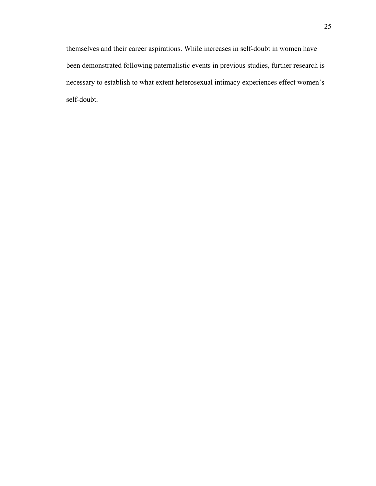themselves and their career aspirations. While increases in self-doubt in women have been demonstrated following paternalistic events in previous studies, further research is necessary to establish to what extent heterosexual intimacy experiences effect women's self-doubt.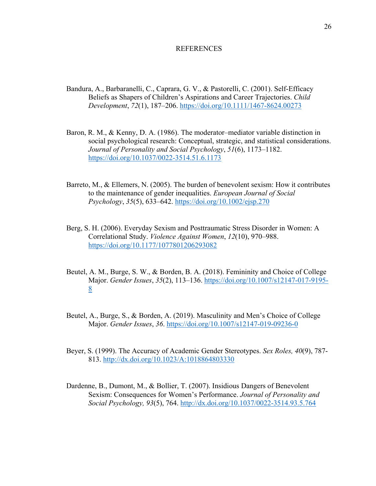#### REFERENCES

- Bandura, A., Barbaranelli, C., Caprara, G. V., & Pastorelli, C. (2001). Self-Efficacy Beliefs as Shapers of Children's Aspirations and Career Trajectories. *Child Development*, *72*(1), 187–206.<https://doi.org/10.1111/1467-8624.00273>
- Baron, R. M., & Kenny, D. A. (1986). The moderator–mediator variable distinction in social psychological research: Conceptual, strategic, and statistical considerations. *Journal of Personality and Social Psychology*, *51*(6), 1173–1182. <https://doi.org/10.1037/0022-3514.51.6.1173>
- Barreto, M., & Ellemers, N. (2005). The burden of benevolent sexism: How it contributes to the maintenance of gender inequalities. *European Journal of Social Psychology*, *35*(5), 633–642. https://doi.org/10.1002/ejsp.270
- Berg, S. H. (2006). Everyday Sexism and Posttraumatic Stress Disorder in Women: A Correlational Study. *Violence Against Women*, *12*(10), 970–988. https://doi.org/10.1177/1077801206293082
- Beutel, A. M., Burge, S. W., & Borden, B. A. (2018). Femininity and Choice of College Major. *Gender Issues*, *35*(2), 113–136. [https://doi.org/10.1007/s12147-017-9195-](https://doi.org/10.1007/s12147-017-9195-8) [8](https://doi.org/10.1007/s12147-017-9195-8)
- Beutel, A., Burge, S., & Borden, A. (2019). Masculinity and Men's Choice of College Major. *Gender Issues*, *36*.<https://doi.org/10.1007/s12147-019-09236-0>
- Beyer, S. (1999). The Accuracy of Academic Gender Stereotypes. *Sex Roles, 40*(9), 787- 813. http://dx.doi.org/10.1023/A:1018864803330
- Dardenne, B., Dumont, M., & Bollier, T. (2007). Insidious Dangers of Benevolent Sexism: Consequences for Women's Performance. *Journal of Personality and Social Psychology, 93*(5), 764.<http://dx.doi.org/10.1037/0022-3514.93.5.764>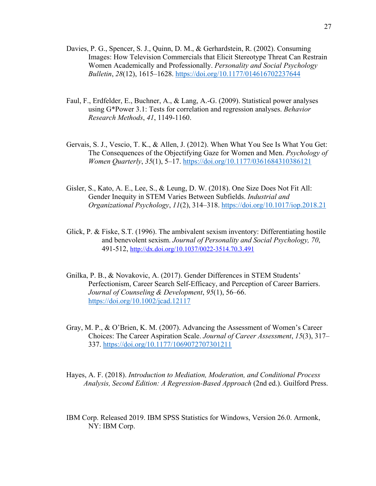- Davies, P. G., Spencer, S. J., Quinn, D. M., & Gerhardstein, R. (2002). Consuming Images: How Television Commercials that Elicit Stereotype Threat Can Restrain Women Academically and Professionally. *Personality and Social Psychology Bulletin*, *28*(12), 1615–1628.<https://doi.org/10.1177/014616702237644>
- Faul, F., Erdfelder, E., Buchner, A., & Lang, A.-G. (2009). Statistical power analyses using G\*Power 3.1: Tests for correlation and regression analyses. *Behavior Research Methods*, *41*, 1149-1160.
- Gervais, S. J., Vescio, T. K., & Allen, J. (2012). When What You See Is What You Get: The Consequences of the Objectifying Gaze for Women and Men. *Psychology of Women Quarterly*, *35*(1), 5–17. https://doi.org/10.1177/0361684310386121
- Gisler, S., Kato, A. E., Lee, S., & Leung, D. W. (2018). One Size Does Not Fit All: Gender Inequity in STEM Varies Between Subfields. *Industrial and Organizational Psychology*, *11*(2), 314–318. https://doi.org/10.1017/iop.2018.21
- Glick, P. & Fiske, S.T. (1996). The ambivalent sexism inventory: Differentiating hostile and benevolent sexism. *Journal of Personality and Social Psychology, 70*, 491-512,<http://dx.doi.org/10.1037/0022-3514.70.3.491>
- Gnilka, P. B., & Novakovic, A. (2017). Gender Differences in STEM Students' Perfectionism, Career Search Self-Efficacy, and Perception of Career Barriers. *Journal of Counseling & Development*, *95*(1), 56–66. <https://doi.org/10.1002/jcad.12117>
- Gray, M. P., & O'Brien, K. M. (2007). Advancing the Assessment of Women's Career Choices: The Career Aspiration Scale. *Journal of Career Assessment*, *15*(3), 317– 337. https://doi.org/10.1177/1069072707301211
- Hayes, A. F. (2018). *Introduction to Mediation, Moderation, and Conditional Process Analysis, Second Edition: A Regression-Based Approach* (2nd ed.). Guilford Press.
- IBM Corp. Released 2019. IBM SPSS Statistics for Windows, Version 26.0. Armonk, NY: IBM Corp.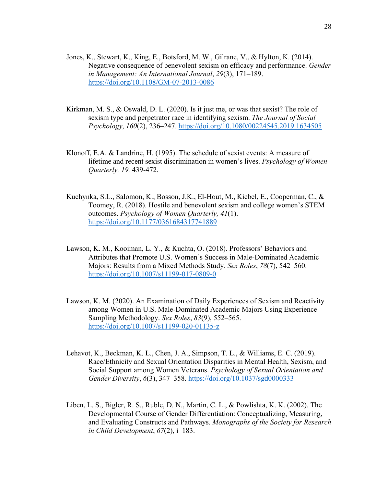- Jones, K., Stewart, K., King, E., Botsford, M. W., Gilrane, V., & Hylton, K. (2014). Negative consequence of benevolent sexism on efficacy and performance. *Gender in Management: An International Journal*, *29*(3), 171–189. https://doi.org/10.1108/GM-07-2013-0086
- Kirkman, M. S., & Oswald, D. L. (2020). Is it just me, or was that sexist? The role of sexism type and perpetrator race in identifying sexism. *The Journal of Social Psychology*, *160*(2), 236–247. https://doi.org/10.1080/00224545.2019.1634505
- Klonoff, E.A. & Landrine, H. (1995). The schedule of sexist events: A measure of lifetime and recent sexist discrimination in women's lives. *Psychology of Women Quarterly, 19,* 439-472.
- Kuchynka, S.L., Salomon, K., Bosson, J.K., El-Hout, M., Kiebel, E., Cooperman, C., & Toomey, R. (2018). Hostile and benevolent sexism and college women's STEM outcomes. *Psychology of Women Quarterly, 41*(1). <https://doi.org/10.1177/0361684317741889>
- Lawson, K. M., Kooiman, L. Y., & Kuchta, O. (2018). Professors' Behaviors and Attributes that Promote U.S. Women's Success in Male-Dominated Academic Majors: Results from a Mixed Methods Study. *Sex Roles*, *78*(7), 542–560. https://doi.org/10.1007/s11199-017-0809-0
- Lawson, K. M. (2020). An Examination of Daily Experiences of Sexism and Reactivity among Women in U.S. Male-Dominated Academic Majors Using Experience Sampling Methodology. *Sex Roles*, *83*(9), 552–565. https://doi.org/10.1007/s11199-020-01135-z
- Lehavot, K., Beckman, K. L., Chen, J. A., Simpson, T. L., & Williams, E. C. (2019). Race/Ethnicity and Sexual Orientation Disparities in Mental Health, Sexism, and Social Support among Women Veterans. *Psychology of Sexual Orientation and Gender Diversity*, *6*(3), 347–358. https://doi.org/10.1037/sgd0000333
- Liben, L. S., Bigler, R. S., Ruble, D. N., Martin, C. L., & Powlishta, K. K. (2002). The Developmental Course of Gender Differentiation: Conceptualizing, Measuring, and Evaluating Constructs and Pathways. *Monographs of the Society for Research in Child Development*, *67*(2), i–183.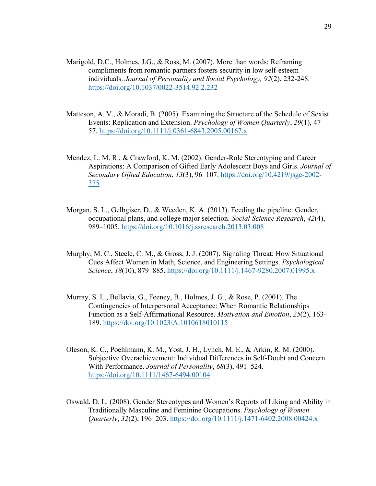- Marigold, D.C., Holmes, J.G., & Ross, M. (2007). More than words: Reframing compliments from romantic partners fosters security in low self-esteem individuals. *Journal of Personality and Social Psychology, 92*(2), 232-248. <https://doi.org/10.1037/0022-3514.92.2.232>
- Matteson, A. V., & Moradi, B. (2005). Examining the Structure of the Schedule of Sexist Events: Replication and Extension. *Psychology of Women Quarterly*, *29*(1), 47– 57. https://doi.org/10.1111/j.0361-6843.2005.00167.x
- Mendez, L. M. R., & Crawford, K. M. (2002). Gender-Role Stereotyping and Career Aspirations: A Comparison of Gifted Early Adolescent Boys and Girls. *Journal of Secondary Gifted Education*, *13*(3), 96–107. [https://doi.org/10.4219/jsge-2002-](https://doi.org/10.4219/jsge-2002-375) [375](https://doi.org/10.4219/jsge-2002-375)
- Morgan, S. L., Gelbgiser, D., & Weeden, K. A. (2013). Feeding the pipeline: Gender, occupational plans, and college major selection. *Social Science Research*, *42*(4), 989–1005.<https://doi.org/10.1016/j.ssresearch.2013.03.008>
- Murphy, M. C., Steele, C. M., & Gross, J. J. (2007). Signaling Threat: How Situational Cues Affect Women in Math, Science, and Engineering Settings. *Psychological Science*, *18*(10), 879–885.<https://doi.org/10.1111/j.1467-9280.2007.01995.x>
- Murray, S. L., Bellavia, G., Feeney, B., Holmes, J. G., & Rose, P. (2001). The Contingencies of Interpersonal Acceptance: When Romantic Relationships Function as a Self-Affirmational Resource. *Motivation and Emotion*, *25*(2), 163– 189. https://doi.org/10.1023/A:1010618010115
- Oleson, K. C., Poehlmann, K. M., Yost, J. H., Lynch, M. E., & Arkin, R. M. (2000). Subjective Overachievement: Individual Differences in Self-Doubt and Concern With Performance. *Journal of Personality*, *68*(3), 491–524. https://doi.org/10.1111/1467-6494.00104
- Oswald, D. L. (2008). Gender Stereotypes and Women's Reports of Liking and Ability in Traditionally Masculine and Feminine Occupations. *Psychology of Women Quarterly*, *32*(2), 196–203. https://doi.org/10.1111/j.1471-6402.2008.00424.x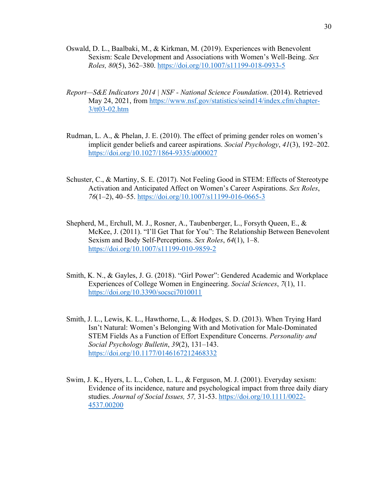- Oswald, D. L., Baalbaki, M., & Kirkman, M. (2019). Experiences with Benevolent Sexism: Scale Development and Associations with Women's Well-Being. *Sex Roles, 80*(5), 362–380. https://doi.org/10.1007/s11199-018-0933-5
- *Report—S&E Indicators 2014 | NSF National Science Foundation*. (2014). Retrieved May 24, 2021, from [https://www.nsf.gov/statistics/seind14/index.cfm/chapter-](https://www.nsf.gov/statistics/seind14/index.cfm/chapter-3/tt03-02.htm)[3/tt03-02.htm](https://www.nsf.gov/statistics/seind14/index.cfm/chapter-3/tt03-02.htm)
- Rudman, L. A., & Phelan, J. E. (2010). The effect of priming gender roles on women's implicit gender beliefs and career aspirations. *Social Psychology*, *41*(3), 192–202. <https://doi.org/10.1027/1864-9335/a000027>
- Schuster, C., & Martiny, S. E. (2017). Not Feeling Good in STEM: Effects of Stereotype Activation and Anticipated Affect on Women's Career Aspirations. *Sex Roles*, *76*(1–2), 40–55. https://doi.org/10.1007/s11199-016-0665-3
- Shepherd, M., Erchull, M. J., Rosner, A., Taubenberger, L., Forsyth Queen, E., & McKee, J. (2011). "I'll Get That for You": The Relationship Between Benevolent Sexism and Body Self-Perceptions. *Sex Roles*, *64*(1), 1–8. https://doi.org/10.1007/s11199-010-9859-2
- Smith, K. N., & Gayles, J. G. (2018). "Girl Power": Gendered Academic and Workplace Experiences of College Women in Engineering. *Social Sciences*, *7*(1), 11. <https://doi.org/10.3390/socsci7010011>
- Smith, J. L., Lewis, K. L., Hawthorne, L., & Hodges, S. D. (2013). When Trying Hard Isn't Natural: Women's Belonging With and Motivation for Male-Dominated STEM Fields As a Function of Effort Expenditure Concerns. *Personality and Social Psychology Bulletin*, *39*(2), 131–143. <https://doi.org/10.1177/0146167212468332>
- Swim, J. K., Hyers, L. L., Cohen, L. L., & Ferguson, M. J. (2001). Everyday sexism: Evidence of its incidence, nature and psychological impact from three daily diary studies. *Journal of Social Issues, 57,* 31-53. https://doi.org/10.1111/0022- 4537.00200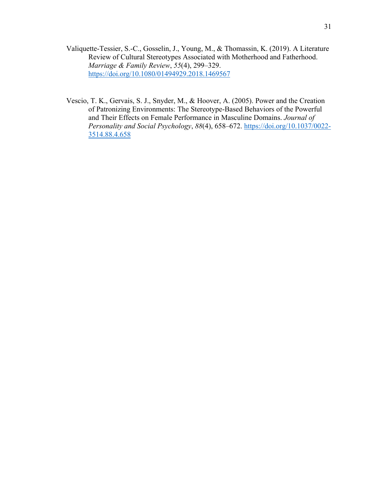Valiquette-Tessier, S.-C., Gosselin, J., Young, M., & Thomassin, K. (2019). A Literature Review of Cultural Stereotypes Associated with Motherhood and Fatherhood. *Marriage & Family Review*, *55*(4), 299–329. <https://doi.org/10.1080/01494929.2018.1469567>

Vescio, T. K., Gervais, S. J., Snyder, M., & Hoover, A. (2005). Power and the Creation of Patronizing Environments: The Stereotype-Based Behaviors of the Powerful and Their Effects on Female Performance in Masculine Domains. *Journal of Personality and Social Psychology*, *88*(4), 658–672. https://doi.org/10.1037/0022- 3514.88.4.658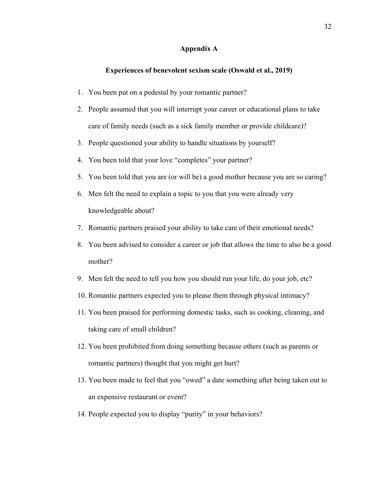#### **Appendix A**

# **Experiences of benevolent sexism scale (Oswald et al., 2019)**

- 1. You been put on a pedestal by your romantic partner?
- 2. People assumed that you will interrupt your career or educational plans to take care of family needs (such as a sick family member or provide childcare)?
- 3. People questioned your ability to handle situations by yourself?
- 4. You been told that your love "completes" your partner?
- 5. You been told that you are (or will be) a good mother because you are so caring?
- 6. Men felt the need to explain a topic to you that you were already very knowledgeable about?
- 7. Romantic partners praised your ability to take care of their emotional needs?
- 8. You been advised to consider a career or job that allows the time to also be a good mother?
- 9. Men felt the need to tell you how you should run your life, do your job, etc?
- 10. Romantic partners expected you to please them through physical intimacy?
- 11. You been praised for performing domestic tasks, such as cooking, cleaning, and taking care of small children?
- 12. You been prohibited from doing something because others (such as parents or romantic partners) thought that you might get hurt?
- 13. You been made to feel that you "owed" a date something after being taken out to an expensive restaurant or event?
- 14. People expected you to display "purity" in your behaviors?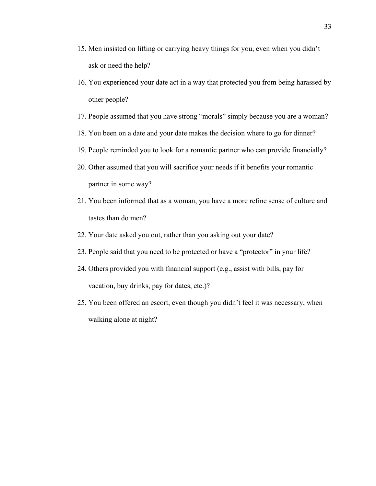- 15. Men insisted on lifting or carrying heavy things for you, even when you didn't ask or need the help?
- 16. You experienced your date act in a way that protected you from being harassed by other people?
- 17. People assumed that you have strong "morals" simply because you are a woman?
- 18. You been on a date and your date makes the decision where to go for dinner?
- 19. People reminded you to look for a romantic partner who can provide financially?
- 20. Other assumed that you will sacrifice your needs if it benefits your romantic partner in some way?
- 21. You been informed that as a woman, you have a more refine sense of culture and tastes than do men?
- 22. Your date asked you out, rather than you asking out your date?
- 23. People said that you need to be protected or have a "protector" in your life?
- 24. Others provided you with financial support (e.g., assist with bills, pay for vacation, buy drinks, pay for dates, etc.)?
- 25. You been offered an escort, even though you didn't feel it was necessary, when walking alone at night?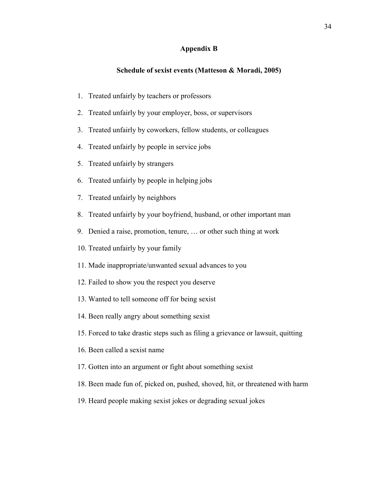# **Appendix B**

# **Schedule of sexist events (Matteson & Moradi, 2005)**

- 1. Treated unfairly by teachers or professors
- 2. Treated unfairly by your employer, boss, or supervisors
- 3. Treated unfairly by coworkers, fellow students, or colleagues
- 4. Treated unfairly by people in service jobs
- 5. Treated unfairly by strangers
- 6. Treated unfairly by people in helping jobs
- 7. Treated unfairly by neighbors
- 8. Treated unfairly by your boyfriend, husband, or other important man
- 9. Denied a raise, promotion, tenure, … or other such thing at work
- 10. Treated unfairly by your family
- 11. Made inappropriate/unwanted sexual advances to you
- 12. Failed to show you the respect you deserve
- 13. Wanted to tell someone off for being sexist
- 14. Been really angry about something sexist
- 15. Forced to take drastic steps such as filing a grievance or lawsuit, quitting
- 16. Been called a sexist name
- 17. Gotten into an argument or fight about something sexist
- 18. Been made fun of, picked on, pushed, shoved, hit, or threatened with harm
- 19. Heard people making sexist jokes or degrading sexual jokes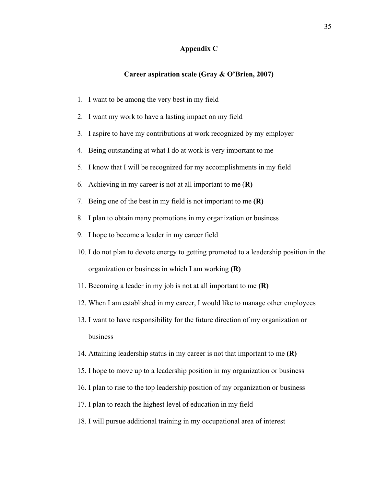# **Appendix C**

# **Career aspiration scale (Gray & O'Brien, 2007)**

- 1. I want to be among the very best in my field
- 2. I want my work to have a lasting impact on my field
- 3. I aspire to have my contributions at work recognized by my employer
- 4. Being outstanding at what I do at work is very important to me
- 5. I know that I will be recognized for my accomplishments in my field
- 6. Achieving in my career is not at all important to me (**R)**
- 7. Being one of the best in my field is not important to me **(R)**
- 8. I plan to obtain many promotions in my organization or business
- 9. I hope to become a leader in my career field
- 10. I do not plan to devote energy to getting promoted to a leadership position in the organization or business in which I am working **(R)**
- 11. Becoming a leader in my job is not at all important to me **(R)**
- 12. When I am established in my career, I would like to manage other employees
- 13. I want to have responsibility for the future direction of my organization or business
- 14. Attaining leadership status in my career is not that important to me **(R)**
- 15. I hope to move up to a leadership position in my organization or business
- 16. I plan to rise to the top leadership position of my organization or business
- 17. I plan to reach the highest level of education in my field
- 18. I will pursue additional training in my occupational area of interest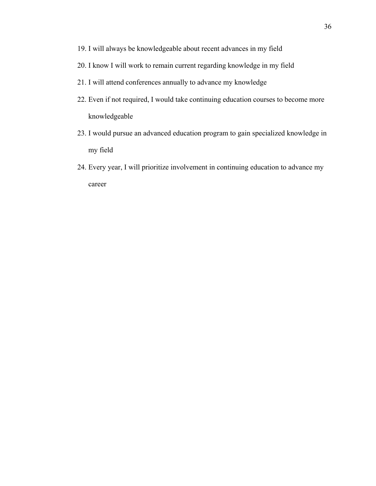- 19. I will always be knowledgeable about recent advances in my field
- 20. I know I will work to remain current regarding knowledge in my field
- 21. I will attend conferences annually to advance my knowledge
- 22. Even if not required, I would take continuing education courses to become more knowledgeable
- 23. I would pursue an advanced education program to gain specialized knowledge in my field
- 24. Every year, I will prioritize involvement in continuing education to advance my career